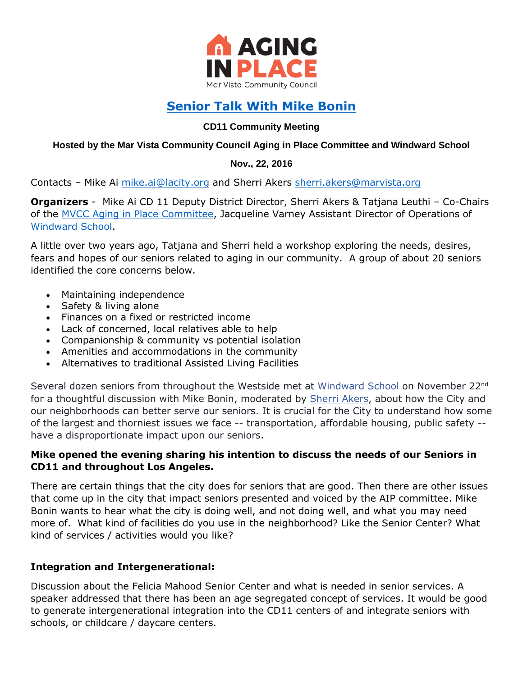

# **[Senior Talk With Mike Bonin](http://www.11thdistrict.com/a11_senior_talk_nov_2016)**

## **CD11 Community Meeting**

#### **Hosted by the Mar Vista Community Council Aging in Place Committee and Windward School**

## **Nov., 22, 2016**

Contacts - Mike Ai [mike.ai@lacity.org](mailto:mike.ai@lacity.org) and Sherri Akers [sherri.akers@marvista.org](mailto:sherri.akers@marvista.org)

**Organizers** - Mike Ai CD 11 Deputy District Director, Sherri Akers & Tatjana Leuthi – Co-Chairs of the [MVCC Aging in Place Committee,](http://www.marvista.org/committees/aginginplace) Jacqueline Varney Assistant Director of Operations of [Windward School.](http://www.windwardschool.org/page)

A little over two years ago, Tatjana and Sherri held a workshop exploring the needs, desires, fears and hopes of our seniors related to aging in our community. A group of about 20 seniors identified the core concerns below.

- Maintaining independence
- Safety & living alone
- Finances on a fixed or restricted income
- Lack of concerned, local relatives able to help
- Companionship & community vs potential isolation
- Amenities and accommodations in the community
- Alternatives to traditional Assisted Living Facilities

Several dozen seniors from throughout the Westside met at [Windward School](https://www.facebook.com/WindwardSchool/) on November 22<sup>nd</sup> for a thoughtful discussion with Mike Bonin, moderated by [Sherri Akers,](https://www.facebook.com/sherri.akers) about how the City and our neighborhoods can better serve our seniors. It is crucial for the City to understand how some of the largest and thorniest issues we face -- transportation, affordable housing, public safety - have a disproportionate impact upon our seniors.

## **Mike opened the evening sharing his intention to discuss the needs of our Seniors in CD11 and throughout Los Angeles.**

There are certain things that the city does for seniors that are good. Then there are other issues that come up in the city that impact seniors presented and voiced by the AIP committee. Mike Bonin wants to hear what the city is doing well, and not doing well, and what you may need more of. What kind of facilities do you use in the neighborhood? Like the Senior Center? What kind of services / activities would you like?

# **Integration and Intergenerational:**

Discussion about the Felicia Mahood Senior Center and what is needed in senior services. A speaker addressed that there has been an age segregated concept of services. It would be good to generate intergenerational integration into the CD11 centers of and integrate seniors with schools, or childcare / daycare centers.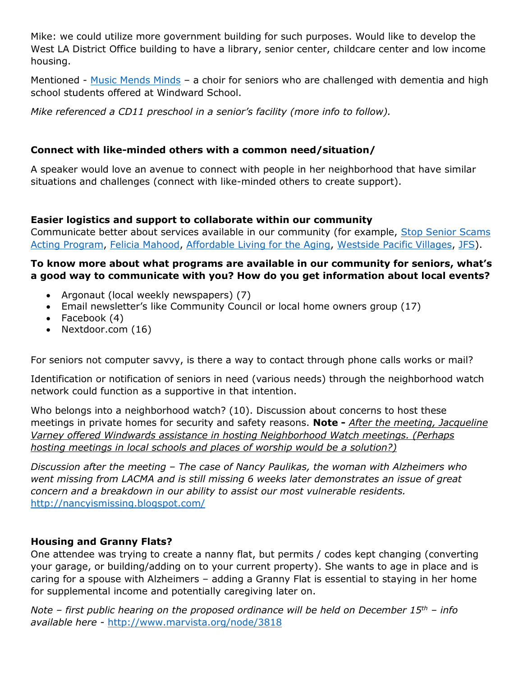Mike: we could utilize more government building for such purposes. Would like to develop the West LA District Office building to have a library, senior center, childcare center and low income housing.

Mentioned - [Music Mends Minds](http://www.musicmendsminds.org/) - a choir for seniors who are challenged with dementia and high school students offered at Windward School.

*Mike referenced a CD11 preschool in a senior's facility (more info to follow).*

# **Connect with like-minded others with a common need/situation/**

A speaker would love an avenue to connect with people in her neighborhood that have similar situations and challenges (connect with like-minded others to create support).

# **Easier logistics and support to collaborate within our community**

Communicate better about services available in our community (for example, [Stop Senior Scams](https://sites.google.com/site/adriennesactors/)  [Acting Program,](https://sites.google.com/site/adriennesactors/) [Felicia Mahood,](http://www.laparks.org/multipurpose/felicia-mahood) [Affordable Living for the Aging,](http://www.alaseniorliving.org/) [Westside Pacific Villages,](http://thewpv.clubexpress.com/) [JFS\)](http://www.jfsla.org/).

## **To know more about what programs are available in our community for seniors, what's a good way to communicate with you? How do you get information about local events?**

- Argonaut (local weekly newspapers) (7)
- Email newsletter's like Community Council or local home owners group (17)
- Facebook  $(4)$
- Nextdoor.com (16)

For seniors not computer savvy, is there a way to contact through phone calls works or mail?

Identification or notification of seniors in need (various needs) through the neighborhood watch network could function as a supportive in that intention.

Who belongs into a neighborhood watch? (10). Discussion about concerns to host these meetings in private homes for security and safety reasons. **Note -** *After the meeting, Jacqueline Varney offered Windwards assistance in hosting Neighborhood Watch meetings. (Perhaps hosting meetings in local schools and places of worship would be a solution?)*

*Discussion after the meeting – The case of Nancy Paulikas, the woman with Alzheimers who went missing from LACMA and is still missing 6 weeks later demonstrates an issue of great concern and a breakdown in our ability to assist our most vulnerable residents.*  <http://nancyismissing.blogspot.com/>

# **Housing and Granny Flats?**

One attendee was trying to create a nanny flat, but permits / codes kept changing (converting your garage, or building/adding on to your current property). She wants to age in place and is caring for a spouse with Alzheimers – adding a Granny Flat is essential to staying in her home for supplemental income and potentially caregiving later on.

*Note – first public hearing on the proposed ordinance will be held on December 15th – info available here -* <http://www.marvista.org/node/3818>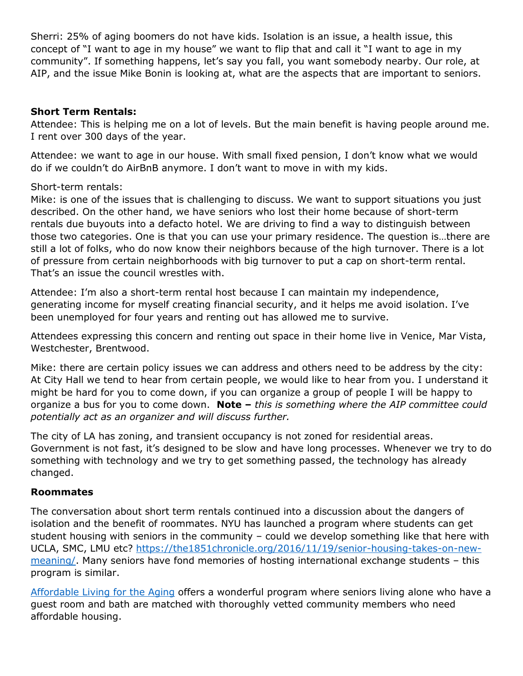Sherri: 25% of aging boomers do not have kids. Isolation is an issue, a health issue, this concept of "I want to age in my house" we want to flip that and call it "I want to age in my community". If something happens, let's say you fall, you want somebody nearby. Our role, at AIP, and the issue Mike Bonin is looking at, what are the aspects that are important to seniors.

#### **Short Term Rentals:**

Attendee: This is helping me on a lot of levels. But the main benefit is having people around me. I rent over 300 days of the year.

Attendee: we want to age in our house. With small fixed pension, I don't know what we would do if we couldn't do AirBnB anymore. I don't want to move in with my kids.

## Short-term rentals:

Mike: is one of the issues that is challenging to discuss. We want to support situations you just described. On the other hand, we have seniors who lost their home because of short-term rentals due buyouts into a defacto hotel. We are driving to find a way to distinguish between those two categories. One is that you can use your primary residence. The question is…there are still a lot of folks, who do now know their neighbors because of the high turnover. There is a lot of pressure from certain neighborhoods with big turnover to put a cap on short-term rental. That's an issue the council wrestles with.

Attendee: I'm also a short-term rental host because I can maintain my independence, generating income for myself creating financial security, and it helps me avoid isolation. I've been unemployed for four years and renting out has allowed me to survive.

Attendees expressing this concern and renting out space in their home live in Venice, Mar Vista, Westchester, Brentwood.

Mike: there are certain policy issues we can address and others need to be address by the city: At City Hall we tend to hear from certain people, we would like to hear from you. I understand it might be hard for you to come down, if you can organize a group of people I will be happy to organize a bus for you to come down. **Note –** *this is something where the AIP committee could potentially act as an organizer and will discuss further.* 

The city of LA has zoning, and transient occupancy is not zoned for residential areas. Government is not fast, it's designed to be slow and have long processes. Whenever we try to do something with technology and we try to get something passed, the technology has already changed.

# **Roommates**

The conversation about short term rentals continued into a discussion about the dangers of isolation and the benefit of roommates. NYU has launched a program where students can get student housing with seniors in the community – could we develop something like that here with UCLA, SMC, LMU etc? [https://the1851chronicle.org/2016/11/19/senior-housing-takes-on-new](https://the1851chronicle.org/2016/11/19/senior-housing-takes-on-new-meaning/)[meaning/.](https://the1851chronicle.org/2016/11/19/senior-housing-takes-on-new-meaning/) Many seniors have fond memories of hosting international exchange students – this program is similar.

[Affordable Living for the Aging](http://www.alaseniorliving.org/) offers a wonderful program where seniors living alone who have a guest room and bath are matched with thoroughly vetted community members who need affordable housing.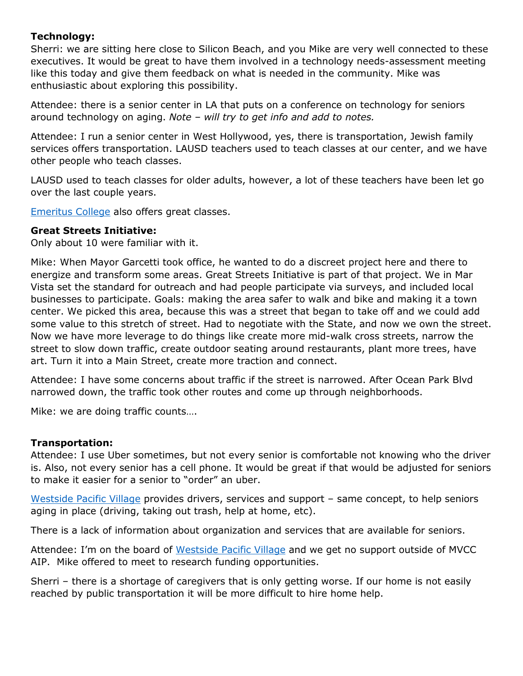## **Technology:**

Sherri: we are sitting here close to Silicon Beach, and you Mike are very well connected to these executives. It would be great to have them involved in a technology needs-assessment meeting like this today and give them feedback on what is needed in the community. Mike was enthusiastic about exploring this possibility.

Attendee: there is a senior center in LA that puts on a conference on technology for seniors around technology on aging. *Note – will try to get info and add to notes.*

Attendee: I run a senior center in West Hollywood, yes, there is transportation, Jewish family services offers transportation. LAUSD teachers used to teach classes at our center, and we have other people who teach classes.

LAUSD used to teach classes for older adults, however, a lot of these teachers have been let go over the last couple years.

[Emeritus College](http://www.smc.edu/AcademicAffairs/Emeritus/Pages/default.aspx) also offers great classes.

#### **Great Streets Initiative:**

Only about 10 were familiar with it.

Mike: When Mayor Garcetti took office, he wanted to do a discreet project here and there to energize and transform some areas. Great Streets Initiative is part of that project. We in Mar Vista set the standard for outreach and had people participate via surveys, and included local businesses to participate. Goals: making the area safer to walk and bike and making it a town center. We picked this area, because this was a street that began to take off and we could add some value to this stretch of street. Had to negotiate with the State, and now we own the street. Now we have more leverage to do things like create more mid-walk cross streets, narrow the street to slow down traffic, create outdoor seating around restaurants, plant more trees, have art. Turn it into a Main Street, create more traction and connect.

Attendee: I have some concerns about traffic if the street is narrowed. After Ocean Park Blvd narrowed down, the traffic took other routes and come up through neighborhoods.

Mike: we are doing traffic counts….

#### **Transportation:**

Attendee: I use Uber sometimes, but not every senior is comfortable not knowing who the driver is. Also, not every senior has a cell phone. It would be great if that would be adjusted for seniors to make it easier for a senior to "order" an uber.

[Westside Pacific Village](http://www.thewpv.clubexpress.com/) provides drivers, services and support - same concept, to help seniors aging in place (driving, taking out trash, help at home, etc).

There is a lack of information about organization and services that are available for seniors.

Attendee: I'm on the board of [Westside Pacific Village](http://www.thewpv.clubexpress.com/) and we get no support outside of MVCC AIP. Mike offered to meet to research funding opportunities.

Sherri – there is a shortage of caregivers that is only getting worse. If our home is not easily reached by public transportation it will be more difficult to hire home help.